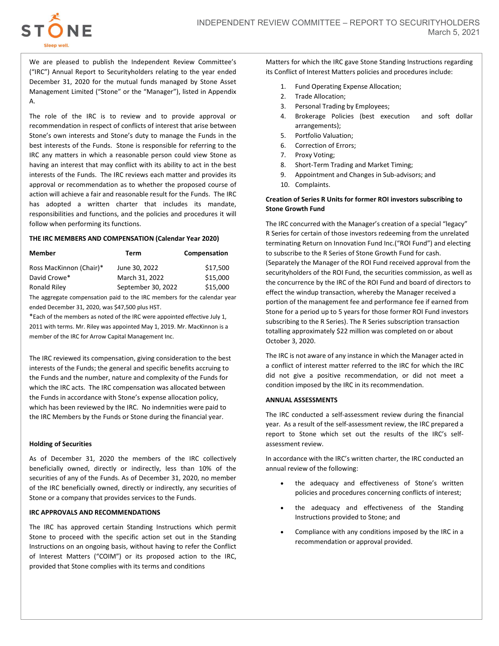

We are pleased to publish the Independent Review Committee's ("IRC") Annual Report to Securityholders relating to the year ended December 31, 2020 for the mutual funds managed by Stone Asset Management Limited ("Stone" or the "Manager"), listed in Appendix A.

The role of the IRC is to review and to provide approval or recommendation in respect of conflicts of interest that arise between Stone's own interests and Stone's duty to manage the Funds in the best interests of the Funds. Stone is responsible for referring to the IRC any matters in which a reasonable person could view Stone as having an interest that may conflict with its ability to act in the best interests of the Funds. The IRC reviews each matter and provides its approval or recommendation as to whether the proposed course of action will achieve a fair and reasonable result for the Funds. The IRC has adopted a written charter that includes its mandate, responsibilities and functions, and the policies and procedures it will follow when performing its functions.

### THE IRC MEMBERS AND COMPENSATION (Calendar Year 2020)

| Member                  | Term               | Compensation |
|-------------------------|--------------------|--------------|
| Ross MacKinnon (Chair)* | June 30, 2022      | \$17,500     |
| David Crowe*            | March 31, 2022     | \$15,000     |
| Ronald Riley            | September 30, 2022 | \$15,000     |

The aggregate compensation paid to the IRC members for the calendar year ended December 31, 2020, was \$47,500 plus HST.

\*Each of the members as noted of the IRC were appointed effective July 1, 2011 with terms. Mr. Riley was appointed May 1, 2019. Mr. MacKinnon is a member of the IRC for Arrow Capital Management Inc.

The IRC reviewed its compensation, giving consideration to the best interests of the Funds; the general and specific benefits accruing to the Funds and the number, nature and complexity of the Funds for which the IRC acts. The IRC compensation was allocated between the Funds in accordance with Stone's expense allocation policy, which has been reviewed by the IRC. No indemnities were paid to the IRC Members by the Funds or Stone during the financial year.

## Holding of Securities

As of December 31, 2020 the members of the IRC collectively beneficially owned, directly or indirectly, less than 10% of the securities of any of the Funds. As of December 31, 2020, no member of the IRC beneficially owned, directly or indirectly, any securities of Stone or a company that provides services to the Funds.

## IRC APPROVALS AND RECOMMENDATIONS

The IRC has approved certain Standing Instructions which permit Stone to proceed with the specific action set out in the Standing Instructions on an ongoing basis, without having to refer the Conflict of Interest Matters ("COIM") or its proposed action to the IRC, provided that Stone complies with its terms and conditions

Matters for which the IRC gave Stone Standing Instructions regarding its Conflict of Interest Matters policies and procedures include:

- 1. Fund Operating Expense Allocation;
- 2. Trade Allocation;
- 3. Personal Trading by Employees;
- 4. Brokerage Policies (best execution and soft dollar arrangements);
- 5. Portfolio Valuation;
- 6. Correction of Errors;
- 7. Proxy Voting;
- 8. Short-Term Trading and Market Timing;
- 9. Appointment and Changes in Sub-advisors; and
- 10. Complaints.

# Creation of Series R Units for former ROI investors subscribing to Stone Growth Fund

The IRC concurred with the Manager's creation of a special "legacy" R Series for certain of those investors redeeming from the unrelated terminating Return on Innovation Fund Inc.("ROI Fund") and electing to subscribe to the R Series of Stone Growth Fund for cash. (Separately the Manager of the ROI Fund received approval from the securityholders of the ROI Fund, the securities commission, as well as the concurrence by the IRC of the ROI Fund and board of directors to effect the windup transaction, whereby the Manager received a portion of the management fee and performance fee if earned from Stone for a period up to 5 years for those former ROI Fund investors subscribing to the R Series). The R Series subscription transaction totalling approximately \$22 million was completed on or about October 3, 2020.

The IRC is not aware of any instance in which the Manager acted in a conflict of interest matter referred to the IRC for which the IRC did not give a positive recommendation, or did not meet a condition imposed by the IRC in its recommendation.

### ANNUAL ASSESSMENTS

The IRC conducted a self-assessment review during the financial year. As a result of the self-assessment review, the IRC prepared a report to Stone which set out the results of the IRC's selfassessment review.

In accordance with the IRC's written charter, the IRC conducted an annual review of the following:

- the adequacy and effectiveness of Stone's written policies and procedures concerning conflicts of interest;
- the adequacy and effectiveness of the Standing Instructions provided to Stone; and
- Compliance with any conditions imposed by the IRC in a recommendation or approval provided.